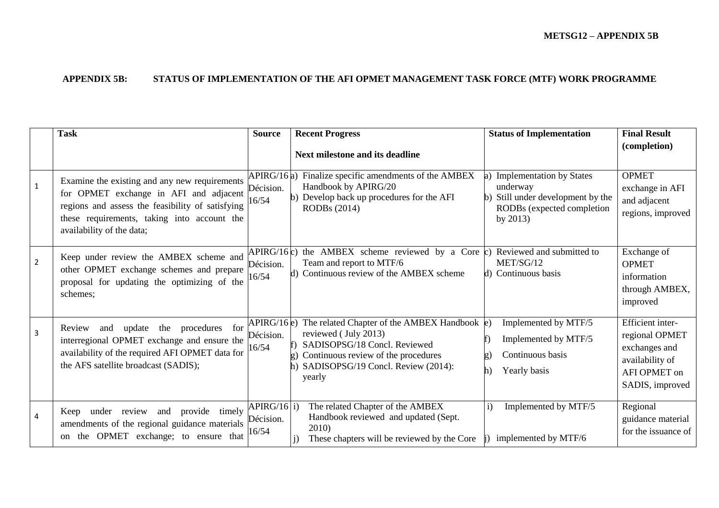## **APPENDIX 5B: STATUS OF IMPLEMENTATION OF THE AFI OPMET MANAGEMENT TASK FORCE (MTF) WORK PROGRAMME**

|                | <b>Task</b>                                                                                                                                                                                                             | <b>Source</b>                       | <b>Recent Progress</b>                                                                                                                                                                                      | <b>Status of Implementation</b>                                                                                                            | <b>Final Result</b>                                                                                       |
|----------------|-------------------------------------------------------------------------------------------------------------------------------------------------------------------------------------------------------------------------|-------------------------------------|-------------------------------------------------------------------------------------------------------------------------------------------------------------------------------------------------------------|--------------------------------------------------------------------------------------------------------------------------------------------|-----------------------------------------------------------------------------------------------------------|
|                |                                                                                                                                                                                                                         |                                     | Next milestone and its deadline                                                                                                                                                                             |                                                                                                                                            | (completion)                                                                                              |
| $\mathbf{1}$   | Examine the existing and any new requirements<br>for OPMET exchange in AFI and adjacent<br>regions and assess the feasibility of satisfying<br>these requirements, taking into account the<br>availability of the data; | APIRG/16a)<br>Décision.<br>16/54    | Finalize specific amendments of the AMBEX<br>Handbook by APIRG/20<br>Develop back up procedures for the AFI<br><b>RODBs</b> (2014)                                                                          | <b>Implementation by States</b><br>underway<br>Still under development by the<br>$\mathbf{h}$<br>RODBs (expected completion<br>by $2013$ ) | <b>OPMET</b><br>exchange in AFI<br>and adjacent<br>regions, improved                                      |
| $\overline{2}$ | Keep under review the AMBEX scheme and<br>other OPMET exchange schemes and prepare<br>proposal for updating the optimizing of the<br>schemes;                                                                           | APIRG/16c)<br>Décision.<br>16/54    | the AMBEX scheme reviewed by a Core $\vert c \rangle$<br>Team and report to MTF/6<br>d) Continuous review of the AMBEX scheme                                                                               | Reviewed and submitted to<br>MET/SG/12<br>d) Continuous basis                                                                              | Exchange of<br><b>OPMET</b><br>information<br>through AMBEX,<br>improved                                  |
| 3              | update<br>the procedures<br>for<br>Review<br>and<br>interregional OPMET exchange and ensure the<br>availability of the required AFI OPMET data for<br>the AFS satellite broadcast (SADIS);                              | APIRG/16e)<br>Décision.<br>16/54    | The related Chapter of the AMBEX Handbook $\ket{\mathrm{e}}$<br>reviewed (July 2013)<br>SADISOPSG/18 Concl. Reviewed<br>Continuous review of the procedures<br>SADISOPSG/19 Concl. Review (2014):<br>yearly | Implemented by MTF/5<br>Implemented by MTF/5<br>Continuous basis<br>Yearly basis                                                           | Efficient inter-<br>regional OPMET<br>exchanges and<br>availability of<br>AFI OPMET on<br>SADIS, improved |
| 4              | under review and<br>provide timely<br>Keep<br>amendments of the regional guidance materials<br>OPMET exchange; to ensure that<br>the<br><sub>on</sub>                                                                   | $APIRG/16$ i)<br>Décision.<br>16/54 | The related Chapter of the AMBEX<br>Handbook reviewed and updated (Sept.<br>2010)<br>These chapters will be reviewed by the Core                                                                            | Implemented by MTF/5<br>$\bf i)$<br>implemented by MTF/6                                                                                   | Regional<br>guidance material<br>for the issuance of                                                      |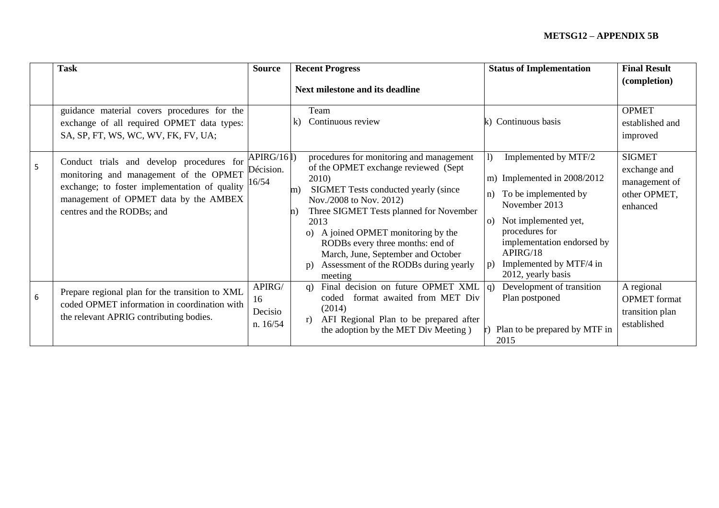## **METSG12 – APPENDIX 5B**

|   | <b>Task</b>                                                                                                                                                                                                 | <b>Source</b>                       | <b>Recent Progress</b>                                                                                                                                                                                                                                                                                                                                                                                                   | <b>Status of Implementation</b>                                                                                                                                                                                                                                           | <b>Final Result</b>                                                        |
|---|-------------------------------------------------------------------------------------------------------------------------------------------------------------------------------------------------------------|-------------------------------------|--------------------------------------------------------------------------------------------------------------------------------------------------------------------------------------------------------------------------------------------------------------------------------------------------------------------------------------------------------------------------------------------------------------------------|---------------------------------------------------------------------------------------------------------------------------------------------------------------------------------------------------------------------------------------------------------------------------|----------------------------------------------------------------------------|
|   |                                                                                                                                                                                                             |                                     | Next milestone and its deadline                                                                                                                                                                                                                                                                                                                                                                                          |                                                                                                                                                                                                                                                                           | (completion)                                                               |
|   | guidance material covers procedures for the<br>exchange of all required OPMET data types:<br>SA, SP, FT, WS, WC, WV, FK, FV, UA;                                                                            |                                     | Team<br>Continuous review<br>k)                                                                                                                                                                                                                                                                                                                                                                                          | Continuous basis                                                                                                                                                                                                                                                          | <b>OPMET</b><br>established and<br>improved                                |
| 5 | Conduct trials and develop procedures for<br>monitoring and management of the OPMET<br>exchange; to foster implementation of quality<br>management of OPMET data by the AMBEX<br>centres and the RODBs; and | APIRG/161)<br>Décision.<br>16/54    | procedures for monitoring and management<br>of the OPMET exchange reviewed (Sept<br>2010)<br>SIGMET Tests conducted yearly (since<br>m)<br>Nov./2008 to Nov. 2012)<br>Three SIGMET Tests planned for November<br>$\mathbf n$<br>2013<br>A joined OPMET monitoring by the<br>$\Omega$<br>RODBs every three months: end of<br>March, June, September and October<br>Assessment of the RODBs during yearly<br>p)<br>meeting | $\mathbf{D}$<br>Implemented by MTF/2<br>m) Implemented in 2008/2012<br>To be implemented by<br>n)<br>November 2013<br>Not implemented yet,<br>$\Omega$<br>procedures for<br>implementation endorsed by<br>APIRG/18<br>Implemented by MTF/4 in<br>p)<br>2012, yearly basis | <b>SIGMET</b><br>exchange and<br>management of<br>other OPMET,<br>enhanced |
| 6 | Prepare regional plan for the transition to XML<br>coded OPMET information in coordination with<br>the relevant APRIG contributing bodies.                                                                  | APIRG/<br>16<br>Decisio<br>n. 16/54 | Final decision on future OPMET XML $ q\rangle$<br>q)<br>format awaited from MET Div<br>coded<br>(2014)<br>AFI Regional Plan to be prepared after<br>r)<br>the adoption by the MET Div Meeting)                                                                                                                                                                                                                           | Development of transition<br>Plan postponed<br>Plan to be prepared by MTF in<br>2015                                                                                                                                                                                      | A regional<br><b>OPMET</b> format<br>transition plan<br>established        |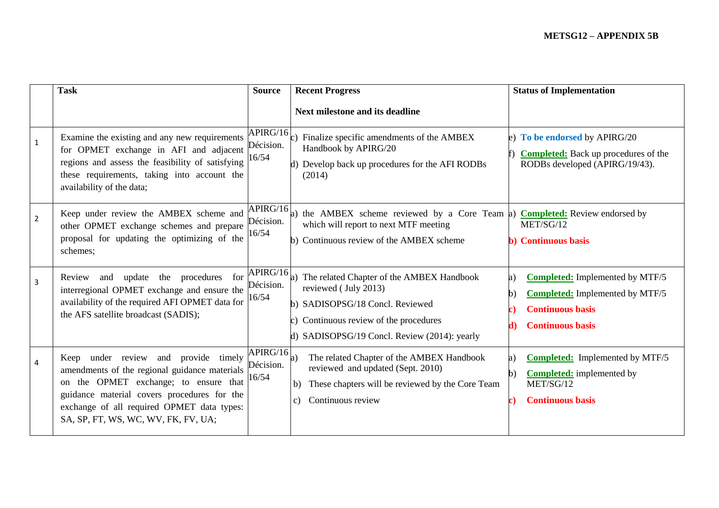|                | <b>Task</b>                                                                                                                                                                                                                                                        | <b>Source</b>                  | <b>Recent Progress</b>                                                                                                                                                                         | <b>Status of Implementation</b>                                                                                                                          |
|----------------|--------------------------------------------------------------------------------------------------------------------------------------------------------------------------------------------------------------------------------------------------------------------|--------------------------------|------------------------------------------------------------------------------------------------------------------------------------------------------------------------------------------------|----------------------------------------------------------------------------------------------------------------------------------------------------------|
|                |                                                                                                                                                                                                                                                                    |                                | Next milestone and its deadline                                                                                                                                                                |                                                                                                                                                          |
| $\mathbf{1}$   | Examine the existing and any new requirements<br>for OPMET exchange in AFI and adjacent<br>regions and assess the feasibility of satisfying<br>these requirements, taking into account the<br>availability of the data;                                            | APIRG/16<br>Décision.<br>16/54 | c) Finalize specific amendments of the $AMBEX$<br>Handbook by APIRG/20<br>d) Develop back up procedures for the AFI RODBs<br>(2014)                                                            | e) To be endorsed by APIRG/20<br><b>Completed:</b> Back up procedures of the<br>RODBs developed (APIRG/19/43).                                           |
| $\overline{2}$ | Keep under review the AMBEX scheme and<br>other OPMET exchange schemes and prepare<br>proposal for updating the optimizing of the<br>schemes;                                                                                                                      | APIRG/16<br>Décision.<br>16/54 | a) the AMBEX scheme reviewed by a Core Team $ a\rangle$ Completed: Review endorsed by<br>which will report to next MTF meeting<br>b) Continuous review of the AMBEX scheme                     | MET/SG/12<br><b>b)</b> Continuous basis                                                                                                                  |
| $\overline{3}$ | Review and update the procedures for<br>interregional OPMET exchange and ensure the<br>availability of the required AFI OPMET data for<br>the AFS satellite broadcast (SADIS);                                                                                     | APIRG/16<br>Décision.<br>16/54 | a) The related Chapter of the AMBEX Handbook<br>reviewed (July 2013)<br>b) SADISOPSG/18 Concl. Reviewed<br>Continuous review of the procedures<br>d) SADISOPSG/19 Concl. Review (2014): yearly | <b>Completed:</b> Implemented by MTF/5<br>a)<br><b>Completed:</b> Implemented by MTF/5<br>h)<br><b>Continuous basis</b><br><b>Continuous basis</b><br>4) |
| $\overline{4}$ | Keep under review and provide timely<br>amendments of the regional guidance materials<br>on the OPMET exchange; to ensure that<br>guidance material covers procedures for the<br>exchange of all required OPMET data types:<br>SA, SP, FT, WS, WC, WV, FK, FV, UA; | APIRG/16<br>Décision.<br>16/54 | The related Chapter of the AMBEX Handbook<br>a)<br>reviewed and updated (Sept. 2010)<br>These chapters will be reviewed by the Core Team<br>b)<br>Continuous review<br>C)                      | <b>Completed:</b> Implemented by MTF/5<br>a)<br><b>Completed:</b> implemented by<br>$\mathbf{b}$<br>MET/SG/12<br><b>Continuous basis</b>                 |